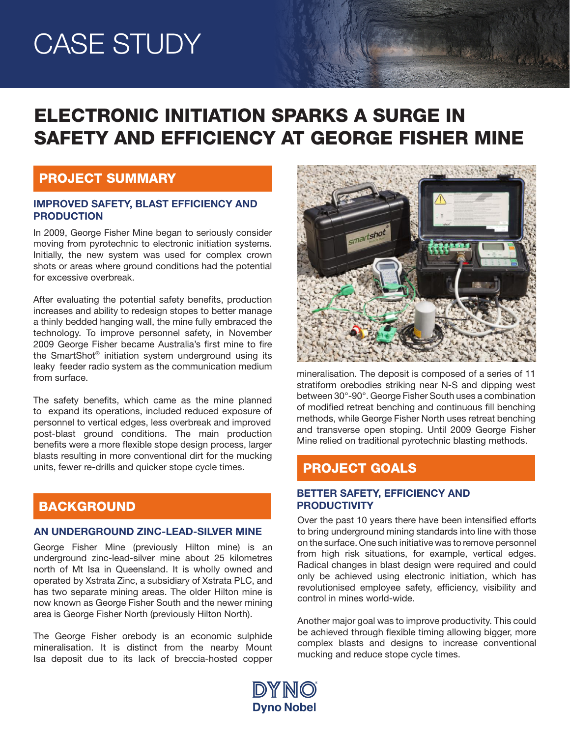# CASE STUDY

# ELECTRONIC INITIATION SPARKS A SURGE IN SAFETY AND EFFICIENCY AT GEORGE FISHER MINE

### PROJECT SUMMARY

#### IMPROVED SAFETY, BLAST EFFICIENCY AND PRODUCTION

In 2009, George Fisher Mine began to seriously consider moving from pyrotechnic to electronic initiation systems. Initially, the new system was used for complex crown shots or areas where ground conditions had the potential for excessive overbreak.

After evaluating the potential safety benefits, production increases and ability to redesign stopes to better manage a thinly bedded hanging wall, the mine fully embraced the technology. To improve personnel safety, in November 2009 George Fisher became Australia's first mine to fire the SmartShot® initiation system underground using its leaky feeder radio system as the communication medium from surface.

The safety benefits, which came as the mine planned to expand its operations, included reduced exposure of personnel to vertical edges, less overbreak and improved post-blast ground conditions. The main production benefits were a more flexible stope design process, larger blasts resulting in more conventional dirt for the mucking units, fewer re-drills and quicker stope cycle times.

# **BACKGROUND**

#### AN UNDERGROUND ZINC-LEAD-SILVER MINE

George Fisher Mine (previously Hilton mine) is an underground zinc-lead-silver mine about 25 kilometres north of Mt Isa in Queensland. It is wholly owned and operated by Xstrata Zinc, a subsidiary of Xstrata PLC, and has two separate mining areas. The older Hilton mine is now known as George Fisher South and the newer mining area is George Fisher North (previously Hilton North).

The George Fisher orebody is an economic sulphide mineralisation. It is distinct from the nearby Mount Isa deposit due to its lack of breccia-hosted copper



ANCE HOT CONT

mineralisation. The deposit is composed of a series of 11 stratiform orebodies striking near N-S and dipping west between 30°-90°. George Fisher South uses a combination of modified retreat benching and continuous fill benching methods, while George Fisher North uses retreat benching and transverse open stoping. Until 2009 George Fisher Mine relied on traditional pyrotechnic blasting methods.

# PROJECT GOALS

#### BETTER SAFETY, EFFICIENCY AND **PRODUCTIVITY**

Over the past 10 years there have been intensified efforts to bring underground mining standards into line with those on the surface. One such initiative was to remove personnel from high risk situations, for example, vertical edges. Radical changes in blast design were required and could only be achieved using electronic initiation, which has revolutionised employee safety, efficiency, visibility and control in mines world-wide.

Another major goal was to improve productivity. This could be achieved through flexible timing allowing bigger, more complex blasts and designs to increase conventional mucking and reduce stope cycle times.